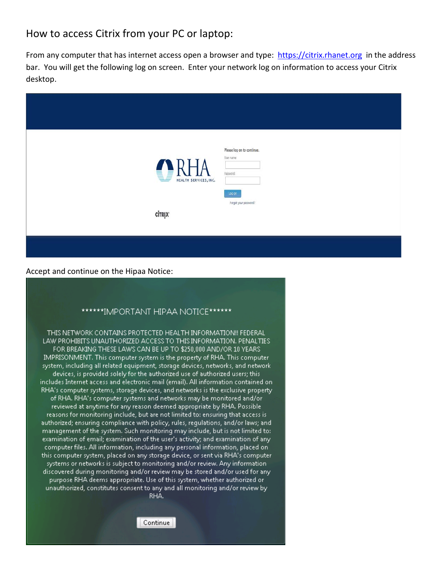## How to access Citrix from your PC or laptop:

From any computer that has internet access open a browser and type: [https://citrix.rhanet.org](https://citrix.rhanet.org/) in the address bar. You will get the following log on screen. Enter your network log on information to access your Citrix desktop.

| Please log on to continue.<br>User name:<br>RHA<br>Password: |  |  |
|--------------------------------------------------------------|--|--|
| log on                                                       |  |  |
| Forgot your password?<br><b>CİTRIX</b>                       |  |  |

Accept and continue on the Hipaa Notice:

## \*\*\*\*\*\*IMPORTANT HIPAA NOTICE\*\*\*\*\*\*\*

THIS NETWORK CONTAINS PROTECTED HEALTH INFORMATION!! FEDERAL LAW PROHIBITS UNAUTHORIZED ACCESS TO THIS INFORMATION. PENALTIES FOR BREAKING THESE LAWS CAN BE UP TO \$250,000 AND/OR 10 YEARS IMPRISONMENT. This computer system is the property of RHA. This computer system, including all related equipment, storage devices, networks, and network devices, is provided solely for the authorized use of authorized users; this includes Internet access and electronic mail (email). All information contained on RHA's computer systems, storage devices, and networks is the exclusive property of RHA. RHA's computer systems and networks may be monitored and/or reviewed at anytime for any reason deemed appropriate by RHA. Possible reasons for monitoring include, but are not limited to: ensuring that access is authorized; ensuring compliance with policy, rules, requlations, and/or laws; and management of the system. Such monitoring may include, but is not limited to: examination of email; examination of the user's activity; and examination of any computer files. All information, including any personal information, placed on . this computer system, placed on any storage device, or sent via RHA's computer. systems or networks is subject to monitoring and/or review. Any informationdiscovered during monitoring and/or review may be stored and/or used for any purpose RHA deems appropriate. Use of this system, whether authorized or unauthorized, constitutes consent to any and all monitoring and/or review by RHA.

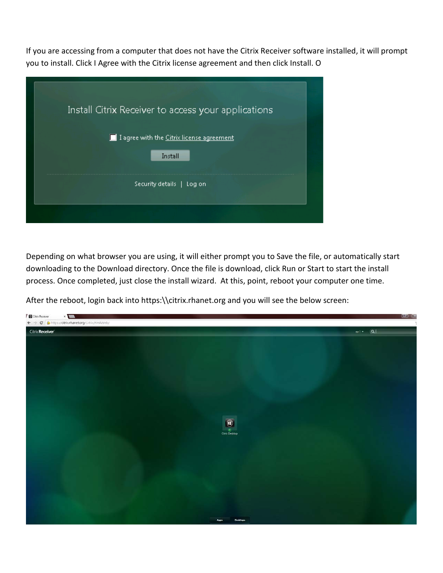If you are accessing from a computer that does not have the Citrix Receiver software installed, it will prompt you to install. Click I Agree with the Citrix license agreement and then click Install. O

| Install Citrix Receiver to access your applications  |  |
|------------------------------------------------------|--|
| I agree with the Citrix license agreement<br>Install |  |
| Security details  <br>Log on                         |  |
|                                                      |  |

Depending on what browser you are using, it will either prompt you to Save the file, or automatically start downloading to the Download directory. Once the file is download, click Run or Start to start the install process. Once completed, just close the install wizard. At this, point, reboot your computer one time.

After the reboot, login back into https:\\citrix.rhanet.org and you will see the below screen: